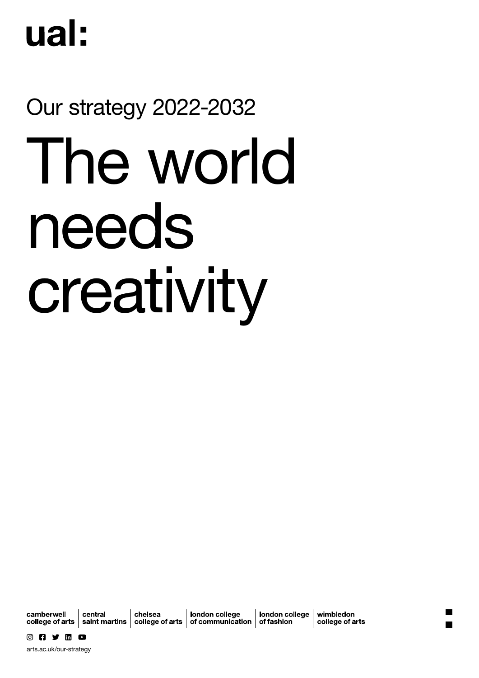# ual:

# Our strategy 2022-2032

# The world needs creativity

camberwell

central chelsea london college

london college college of arts  $\vert$  saint martins  $\vert$  college of arts  $\vert$  of communication  $\vert$  of fashion

wimbledon college of arts

[arts.ac.uk/our-strategy](http://arts.ac.uk/our-strategy)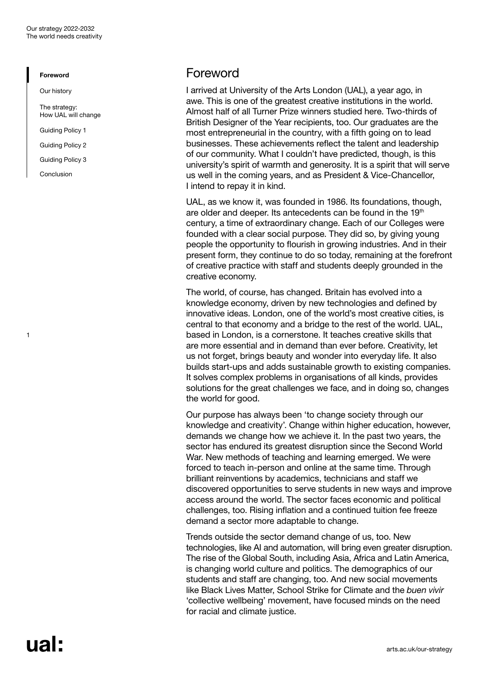<span id="page-1-0"></span>[Our history](#page-3-0)

[The strategy:](#page-4-0)  [How UAL will change](#page-4-0)

[Guiding Policy 1](#page-5-0) 

[Guiding Policy 2](#page-7-0)

[Guiding Policy 3](#page-9-0)

[Conclusion](#page-11-0)

1

### Foreword

I arrived at University of the Arts London (UAL), a year ago, in awe. This is one of the greatest creative institutions in the world. Almost half of all Turner Prize winners studied here. Two-thirds of British Designer of the Year recipients, too. Our graduates are the most entrepreneurial in the country, with a fifth going on to lead businesses. These achievements reflect the talent and leadership of our community. What I couldn't have predicted, though, is this university's spirit of warmth and generosity. It is a spirit that will serve us well in the coming years, and as President & Vice-Chancellor, I intend to repay it in kind.

UAL, as we know it, was founded in 1986. Its foundations, though, are older and deeper. Its antecedents can be found in the 19<sup>th</sup> century, a time of extraordinary change. Each of our Colleges were founded with a clear social purpose. They did so, by giving young people the opportunity to flourish in growing industries. And in their present form, they continue to do so today, remaining at the forefront of creative practice with staff and students deeply grounded in the creative economy.

The world, of course, has changed. Britain has evolved into a knowledge economy, driven by new technologies and defined by innovative ideas. London, one of the world's most creative cities, is central to that economy and a bridge to the rest of the world. UAL, based in London, is a cornerstone. It teaches creative skills that are more essential and in demand than ever before. Creativity, let us not forget, brings beauty and wonder into everyday life. It also builds start-ups and adds sustainable growth to existing companies. It solves complex problems in organisations of all kinds, provides solutions for the great challenges we face, and in doing so, changes the world for good.

Our purpose has always been 'to change society through our knowledge and creativity'. Change within higher education, however, demands we change how we achieve it. In the past two years, the sector has endured its greatest disruption since the Second World War. New methods of teaching and learning emerged. We were forced to teach in-person and online at the same time. Through brilliant reinventions by academics, technicians and staff we discovered opportunities to serve students in new ways and improve access around the world. The sector faces economic and political challenges, too. Rising inflation and a continued tuition fee freeze demand a sector more adaptable to change.

Trends outside the sector demand change of us, too. New technologies, like AI and automation, will bring even greater disruption. The rise of the Global South, including Asia, Africa and Latin America, is changing world culture and politics. The demographics of our students and staff are changing, too. And new social movements like Black Lives Matter, School Strike for Climate and the *buen vivir* 'collective wellbeing' movement, have focused minds on the need for racial and climate justice.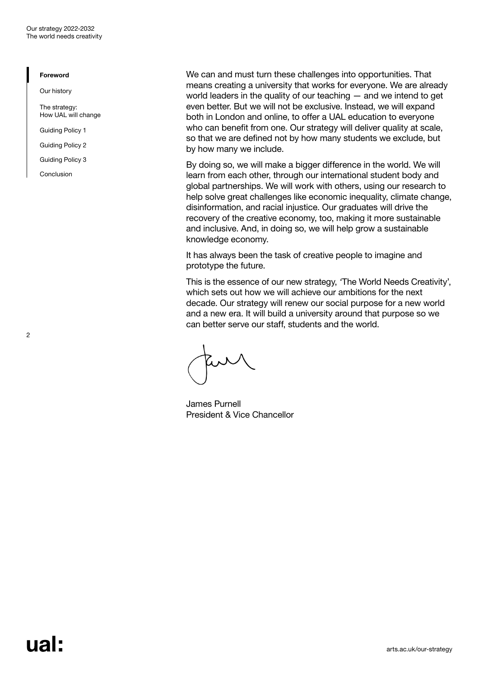[Our history](#page-3-0)

[The strategy:](#page-4-0)  [How UAL will change](#page-4-0)

[Guiding Policy 1](#page-5-0) 

[Guiding Policy 2](#page-7-0)

[Guiding Policy 3](#page-9-0)

[Conclusion](#page-11-0)

We can and must turn these challenges into opportunities. That means creating a university that works for everyone. We are already world leaders in the quality of our teaching — and we intend to get even better. But we will not be exclusive. Instead, we will expand both in London and online, to offer a UAL education to everyone who can benefit from one. Our strategy will deliver quality at scale, so that we are defined not by how many students we exclude, but by how many we include.

By doing so, we will make a bigger difference in the world. We will learn from each other, through our international student body and global partnerships. We will work with others, using our research to help solve great challenges like economic inequality, climate change, disinformation, and racial injustice. Our graduates will drive the recovery of the creative economy, too, making it more sustainable and inclusive. And, in doing so, we will help grow a sustainable knowledge economy.

It has always been the task of creative people to imagine and prototype the future.

This is the essence of our new strategy, *'*The World Needs Creativity', which sets out how we will achieve our ambitions for the next decade. Our strategy will renew our social purpose for a new world and a new era. It will build a university around that purpose so we can better serve our staff, students and the world.

James Purnell President & Vice Chancellor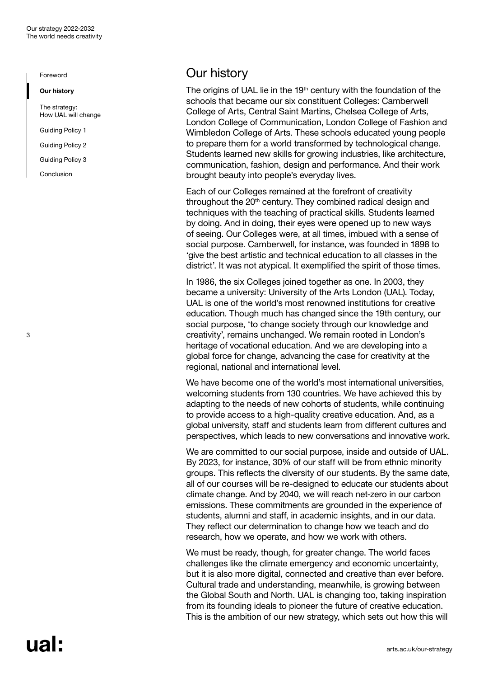<span id="page-3-0"></span>Our history

[The strategy:](#page-4-0)  [How UAL will change](#page-4-0)

[Guiding Policy 1](#page-5-0) 

[Guiding Policy 2](#page-7-0)

[Guiding Policy 3](#page-9-0)

[Conclusion](#page-11-0)

# Our history

The origins of UAL lie in the  $19<sup>th</sup>$  century with the foundation of the schools that became our six constituent Colleges: Camberwell College of Arts, Central Saint Martins, Chelsea College of Arts, London College of Communication, London College of Fashion and Wimbledon College of Arts. These schools educated young people to prepare them for a world transformed by technological change. Students learned new skills for growing industries, like architecture, communication, fashion, design and performance. And their work brought beauty into people's everyday lives.

Each of our Colleges remained at the forefront of creativity throughout the 20<sup>th</sup> century. They combined radical design and techniques with the teaching of practical skills. Students learned by doing. And in doing, their eyes were opened up to new ways of seeing. Our Colleges were, at all times, imbued with a sense of social purpose. Camberwell, for instance, was founded in 1898 to 'give the best artistic and technical education to all classes in the district'. It was not atypical. It exemplified the spirit of those times.

In 1986, the six Colleges joined together as one. In 2003, they became a university: University of the Arts London (UAL). Today, UAL is one of the world's most renowned institutions for creative education. Though much has changed since the 19th century, our social purpose, 'to change society through our knowledge and creativity', remains unchanged. We remain rooted in London's heritage of vocational education. And we are developing into a global force for change, advancing the case for creativity at the regional, national and international level.

We have become one of the world's most international universities, welcoming students from 130 countries. We have achieved this by adapting to the needs of new cohorts of students, while continuing to provide access to a high-quality creative education. And, as a global university, staff and students learn from different cultures and perspectives, which leads to new conversations and innovative work.

We are committed to our social purpose, inside and outside of UAL. By 2023, for instance, 30% of our staff will be from ethnic minority groups. This reflects the diversity of our students. By the same date, all of our courses will be re-designed to educate our students about climate change. And by 2040, we will reach net-zero in our carbon emissions. These commitments are grounded in the experience of students, alumni and staff, in academic insights, and in our data. They reflect our determination to change how we teach and do research, how we operate, and how we work with others.

We must be ready, though, for greater change. The world faces challenges like the climate emergency and economic uncertainty, but it is also more digital, connected and creative than ever before. Cultural trade and understanding, meanwhile, is growing between the Global South and North. UAL is changing too, taking inspiration from its founding ideals to pioneer the future of creative education. This is the ambition of our new strategy, which sets out how this will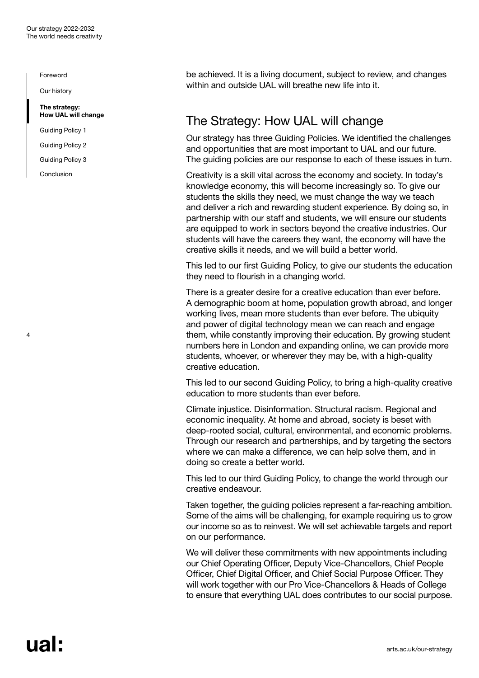<span id="page-4-0"></span>[Our history](#page-3-0)

#### The strategy: How UAL will change

[Guiding Policy 1](#page-5-0) 

[Guiding Policy 2](#page-7-0)

[Guiding Policy 3](#page-9-0)

[Conclusion](#page-11-0)

4

be achieved. It is a living document, subject to review, and changes within and outside UAL will breathe new life into it.

# The Strategy: How UAL will change

Our strategy has three Guiding Policies. We identified the challenges and opportunities that are most important to UAL and our future. The guiding policies are our response to each of these issues in turn.

Creativity is a skill vital across the economy and society. In today's knowledge economy, this will become increasingly so. To give our students the skills they need, we must change the way we teach and deliver a rich and rewarding student experience. By doing so, in partnership with our staff and students, we will ensure our students are equipped to work in sectors beyond the creative industries. Our students will have the careers they want, the economy will have the creative skills it needs, and we will build a better world.

This led to our first Guiding Policy, to give our students the education they need to flourish in a changing world.

There is a greater desire for a creative education than ever before. A demographic boom at home, population growth abroad, and longer working lives, mean more students than ever before. The ubiquity and power of digital technology mean we can reach and engage them, while constantly improving their education. By growing student numbers here in London and expanding online, we can provide more students, whoever, or wherever they may be, with a high-quality creative education.

This led to our second Guiding Policy, to bring a high-quality creative education to more students than ever before.

Climate injustice. Disinformation. Structural racism. Regional and economic inequality. At home and abroad, society is beset with deep-rooted social, cultural, environmental, and economic problems. Through our research and partnerships, and by targeting the sectors where we can make a difference, we can help solve them, and in doing so create a better world.

This led to our third Guiding Policy, to change the world through our creative endeavour.

Taken together, the guiding policies represent a far-reaching ambition. Some of the aims will be challenging, for example requiring us to grow our income so as to reinvest. We will set achievable targets and report on our performance.

We will deliver these commitments with new appointments including our Chief Operating Officer, Deputy Vice-Chancellors, Chief People Officer, Chief Digital Officer, and Chief Social Purpose Officer. They will work together with our Pro Vice-Chancellors & Heads of College to ensure that everything UAL does contributes to our social purpose.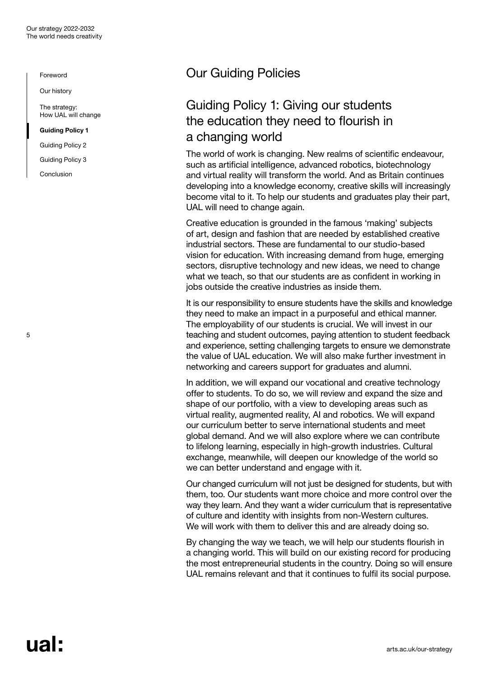<span id="page-5-0"></span>[Our history](#page-3-0)

[The strategy:](#page-4-0)  [How UAL will change](#page-4-0)

Guiding Policy 1

[Guiding Policy 2](#page-7-0)

[Guiding Policy 3](#page-9-0)

[Conclusion](#page-11-0)

5

# Our Guiding Policies

# Guiding Policy 1: Giving our students the education they need to flourish in a changing world

The world of work is changing. New realms of scientific endeavour, such as artificial intelligence, advanced robotics, biotechnology and virtual reality will transform the world. And as Britain continues developing into a knowledge economy, creative skills will increasingly become vital to it. To help our students and graduates play their part, UAL will need to change again.

Creative education is grounded in the famous 'making' subjects of art, design and fashion that are needed by established creative industrial sectors. These are fundamental to our studio-based vision for education. With increasing demand from huge, emerging sectors, disruptive technology and new ideas, we need to change what we teach, so that our students are as confident in working in jobs outside the creative industries as inside them.

It is our responsibility to ensure students have the skills and knowledge they need to make an impact in a purposeful and ethical manner. The employability of our students is crucial. We will invest in our teaching and student outcomes, paying attention to student feedback and experience, setting challenging targets to ensure we demonstrate the value of UAL education. We will also make further investment in networking and careers support for graduates and alumni.

In addition, we will expand our vocational and creative technology offer to students. To do so, we will review and expand the size and shape of our portfolio, with a view to developing areas such as virtual reality, augmented reality, AI and robotics. We will expand our curriculum better to serve international students and meet global demand. And we will also explore where we can contribute to lifelong learning, especially in high-growth industries. Cultural exchange, meanwhile, will deepen our knowledge of the world so we can better understand and engage with it.

Our changed curriculum will not just be designed for students, but with them, too. Our students want more choice and more control over the way they learn. And they want a wider curriculum that is representative of culture and identity with insights from non-Western cultures. We will work with them to deliver this and are already doing so.

By changing the way we teach, we will help our students flourish in a changing world. This will build on our existing record for producing the most entrepreneurial students in the country. Doing so will ensure UAL remains relevant and that it continues to fulfil its social purpose.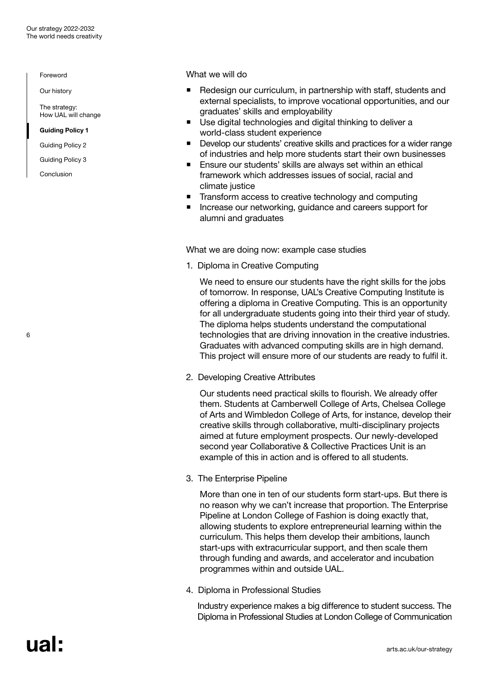[Our history](#page-3-0)

[The strategy:](#page-4-0)  [How UAL will change](#page-4-0)

[Guiding Policy 1](#page-5-0) 

[Guiding Policy 2](#page-7-0)

[Guiding Policy 3](#page-9-0)

[Conclusion](#page-11-0)

6

What we will do

- Redesign our curriculum, in partnership with staff, students and external specialists, to improve vocational opportunities, and our graduates' skills and employability
- Use digital technologies and digital thinking to deliver a world-class student experience
- Develop our students' creative skills and practices for a wider range of industries and help more students start their own businesses
- Ensure our students' skills are always set within an ethical framework which addresses issues of social, racial and climate justice
- Transform access to creative technology and computing
- Increase our networking, guidance and careers support for alumni and graduates

What we are doing now: example case studies

1. Diploma in Creative Computing

We need to ensure our students have the right skills for the jobs of tomorrow. In response, UAL's Creative Computing Institute is offering a diploma in Creative Computing. This is an opportunity for all undergraduate students going into their third year of study. The diploma helps students understand the computational technologies that are driving innovation in the creative industries. Graduates with advanced computing skills are in high demand. This project will ensure more of our students are ready to fulfil it.

2. Developing Creative Attributes

Our students need practical skills to flourish. We already offer them. Students at Camberwell College of Arts, Chelsea College of Arts and Wimbledon College of Arts, for instance, develop their creative skills through collaborative, multi-disciplinary projects aimed at future employment prospects. Our newly-developed second year Collaborative & Collective Practices Unit is an example of this in action and is offered to all students.

3. The Enterprise Pipeline

More than one in ten of our students form start-ups. But there is no reason why we can't increase that proportion. The Enterprise Pipeline at London College of Fashion is doing exactly that, allowing students to explore entrepreneurial learning within the curriculum. This helps them develop their ambitions, launch start-ups with extracurricular support, and then scale them through funding and awards, and accelerator and incubation programmes within and outside UAL.

4. Diploma in Professional Studies

Industry experience makes a big difference to student success. The Diploma in Professional Studies at London College of Communication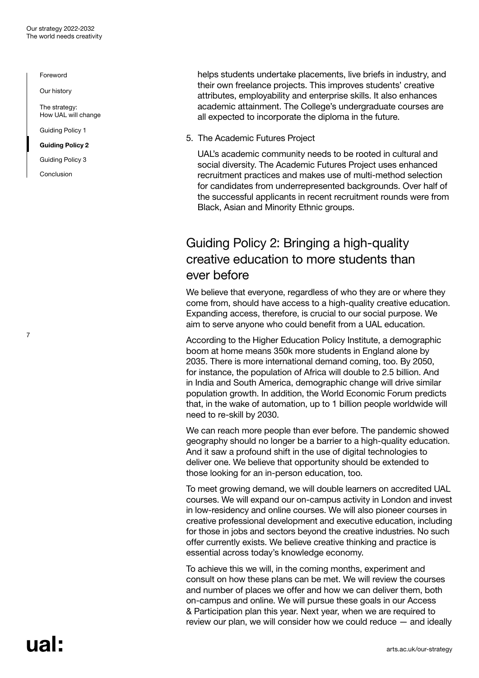<span id="page-7-0"></span>[Our history](#page-3-0)

[The strategy:](#page-4-0)  [How UAL will change](#page-4-0)

[Guiding Policy 1](#page-5-0) 

Guiding Policy 2

[Guiding Policy 3](#page-9-0)

[Conclusion](#page-11-0)

7

helps students undertake placements, live briefs in industry, and their own freelance projects. This improves students' creative attributes, employability and enterprise skills. It also enhances academic attainment. The College's undergraduate courses are all expected to incorporate the diploma in the future.

5. The Academic Futures Project

UAL's academic community needs to be rooted in cultural and social diversity. The Academic Futures Project uses enhanced recruitment practices and makes use of multi-method selection for candidates from underrepresented backgrounds. Over half of the successful applicants in recent recruitment rounds were from Black, Asian and Minority Ethnic groups.

# Guiding Policy 2: Bringing a high-quality creative education to more students than ever before

We believe that everyone, regardless of who they are or where they come from, should have access to a high-quality creative education. Expanding access, therefore, is crucial to our social purpose. We aim to serve anyone who could benefit from a UAL education.

According to the Higher Education Policy Institute, a demographic boom at home means 350k more students in England alone by 2035. There is more international demand coming, too. By 2050, for instance, the population of Africa will double to 2.5 billion. And in India and South America, demographic change will drive similar population growth. In addition, the World Economic Forum predicts that, in the wake of automation, up to 1 billion people worldwide will need to re-skill by 2030.

We can reach more people than ever before. The pandemic showed geography should no longer be a barrier to a high-quality education. And it saw a profound shift in the use of digital technologies to deliver one. We believe that opportunity should be extended to those looking for an in-person education, too.

To meet growing demand, we will double learners on accredited UAL courses. We will expand our on-campus activity in London and invest in low-residency and online courses. We will also pioneer courses in creative professional development and executive education, including for those in jobs and sectors beyond the creative industries. No such offer currently exists. We believe creative thinking and practice is essential across today's knowledge economy.

To achieve this we will, in the coming months, experiment and consult on how these plans can be met. We will review the courses and number of places we offer and how we can deliver them, both on-campus and online. We will pursue these goals in our Access & Participation plan this year. Next year, when we are required to review our plan, we will consider how we could reduce — and ideally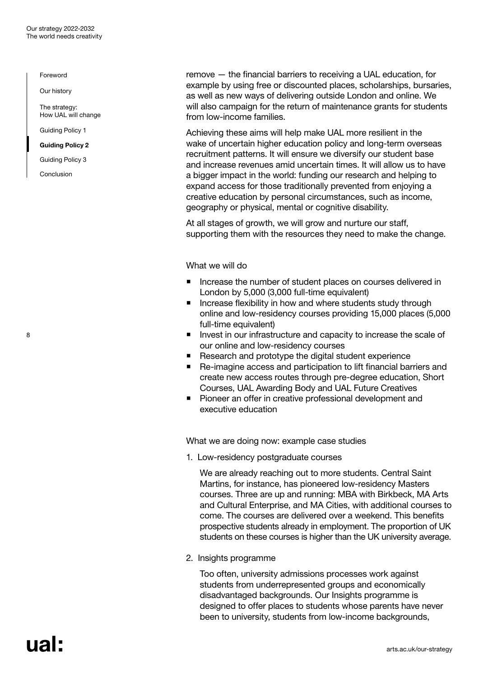[Our history](#page-3-0)

[The strategy:](#page-4-0)  [How UAL will change](#page-4-0)

[Guiding Policy 1](#page-5-0) 

#### [Guiding Policy 2](#page-7-0)

[Guiding Policy 3](#page-9-0)

[Conclusion](#page-11-0)

8

remove — the financial barriers to receiving a UAL education, for example by using free or discounted places, scholarships, bursaries, as well as new ways of delivering outside London and online. We will also campaign for the return of maintenance grants for students from low-income families.

Achieving these aims will help make UAL more resilient in the wake of uncertain higher education policy and long-term overseas recruitment patterns. It will ensure we diversify our student base and increase revenues amid uncertain times. It will allow us to have a bigger impact in the world: funding our research and helping to expand access for those traditionally prevented from enjoying a creative education by personal circumstances, such as income, geography or physical, mental or cognitive disability.

At all stages of growth, we will grow and nurture our staff, supporting them with the resources they need to make the change.

What we will do

- Increase the number of student places on courses delivered in London by 5,000 (3,000 full-time equivalent)
- **Increase flexibility in how and where students study through** online and low-residency courses providing 15,000 places (5,000 full-time equivalent)
- **Invest in our infrastructure and capacity to increase the scale of** our online and low-residency courses
- Research and prototype the digital student experience
- Re-imagine access and participation to lift financial barriers and create new access routes through pre-degree education, Short Courses, UAL Awarding Body and UAL Future Creatives
- **Pioneer an offer in creative professional development and** executive education

What we are doing now: example case studies

1. Low-residency postgraduate courses

We are already reaching out to more students. Central Saint Martins, for instance, has pioneered low-residency Masters courses. Three are up and running: MBA with Birkbeck, MA Arts and Cultural Enterprise, and MA Cities, with additional courses to come. The courses are delivered over a weekend. This benefits prospective students already in employment. The proportion of UK students on these courses is higher than the UK university average.

#### 2. Insights programme

Too often, university admissions processes work against students from underrepresented groups and economically disadvantaged backgrounds. Our Insights programme is designed to offer places to students whose parents have never been to university, students from low-income backgrounds,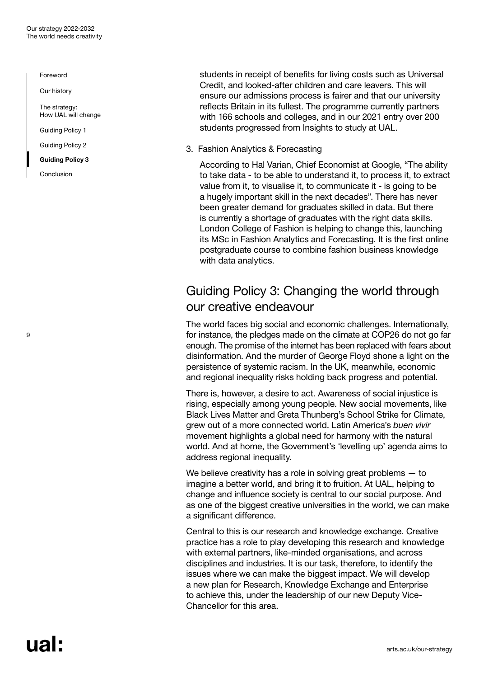<span id="page-9-0"></span>[Our history](#page-3-0)

[The strategy:](#page-4-0)  [How UAL will change](#page-4-0)

[Guiding Policy 1](#page-5-0) 

[Guiding Policy 2](#page-7-0)

Guiding Policy 3

[Conclusion](#page-11-0)

students in receipt of benefits for living costs such as Universal Credit, and looked-after children and care leavers. This will ensure our admissions process is fairer and that our university reflects Britain in its fullest. The programme currently partners with 166 schools and colleges, and in our 2021 entry over 200 students progressed from Insights to study at UAL.

3. Fashion Analytics & Forecasting

According to Hal Varian, Chief Economist at Google, "The ability to take data - to be able to understand it, to process it, to extract value from it, to visualise it, to communicate it - is going to be a hugely important skill in the next decades". There has never been greater demand for graduates skilled in data. But there is currently a shortage of graduates with the right data skills. London College of Fashion is helping to change this, launching its MSc in Fashion Analytics and Forecasting. It is the first online postgraduate course to combine fashion business knowledge with data analytics.

# Guiding Policy 3: Changing the world through our creative endeavour

The world faces big social and economic challenges. Internationally, for instance, the pledges made on the climate at COP26 do not go far enough. The promise of the internet has been replaced with fears about disinformation. And the murder of George Floyd shone a light on the persistence of systemic racism. In the UK, meanwhile, economic and regional inequality risks holding back progress and potential.

There is, however, a desire to act. Awareness of social injustice is rising, especially among young people. New social movements, like Black Lives Matter and Greta Thunberg's School Strike for Climate, grew out of a more connected world. Latin America's *buen vivir* movement highlights a global need for harmony with the natural world. And at home, the Government's 'levelling up' agenda aims to address regional inequality.

We believe creativity has a role in solving great problems – to imagine a better world, and bring it to fruition. At UAL, helping to change and influence society is central to our social purpose. And as one of the biggest creative universities in the world, we can make a significant difference.

Central to this is our research and knowledge exchange. Creative practice has a role to play developing this research and knowledge with external partners, like-minded organisations, and across disciplines and industries. It is our task, therefore, to identify the issues where we can make the biggest impact. We will develop a new plan for Research, Knowledge Exchange and Enterprise to achieve this, under the leadership of our new Deputy Vice-Chancellor for this area.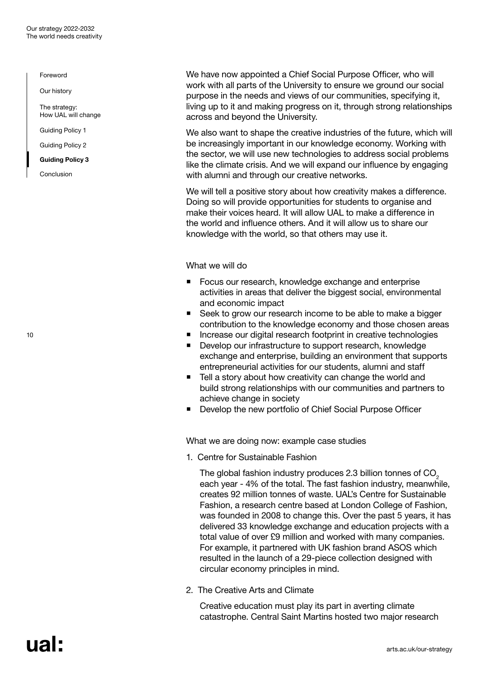[Our history](#page-3-0)

[The strategy:](#page-4-0)  [How UAL will change](#page-4-0)

[Guiding Policy 1](#page-5-0) 

[Guiding Policy 2](#page-7-0)

[Guiding Policy 3](#page-9-0)

[Conclusion](#page-11-0)

We have now appointed a Chief Social Purpose Officer, who will work with all parts of the University to ensure we ground our social purpose in the needs and views of our communities, specifying it, living up to it and making progress on it, through strong relationships across and beyond the University.

We also want to shape the creative industries of the future, which will be increasingly important in our knowledge economy. Working with the sector, we will use new technologies to address social problems like the climate crisis. And we will expand our influence by engaging with alumni and through our creative networks.

We will tell a positive story about how creativity makes a difference. Doing so will provide opportunities for students to organise and make their voices heard. It will allow UAL to make a difference in the world and influence others. And it will allow us to share our knowledge with the world, so that others may use it.

What we will do

- Focus our research, knowledge exchange and enterprise activities in areas that deliver the biggest social, environmental and economic impact
- Seek to grow our research income to be able to make a bigger contribution to the knowledge economy and those chosen areas
- Increase our digital research footprint in creative technologies
- Develop our infrastructure to support research, knowledge exchange and enterprise, building an environment that supports entrepreneurial activities for our students, alumni and staff
- Tell a story about how creativity can change the world and build strong relationships with our communities and partners to achieve change in society
- **Develop the new portfolio of Chief Social Purpose Officer**

What we are doing now: example case studies

1. Centre for Sustainable Fashion

The global fashion industry produces 2.3 billion tonnes of CO<sub>2</sub> each year - 4% of the total. The fast fashion industry, meanwhile, creates 92 million tonnes of waste. UAL's Centre for Sustainable Fashion, a research centre based at London College of Fashion, was founded in 2008 to change this. Over the past 5 years, it has delivered 33 knowledge exchange and education projects with a total value of over £9 million and worked with many companies. For example, it partnered with UK fashion brand ASOS which resulted in the launch of a 29-piece collection designed with circular economy principles in mind.

2. The Creative Arts and Climate

Creative education must play its part in averting climate catastrophe. Central Saint Martins hosted two major research

10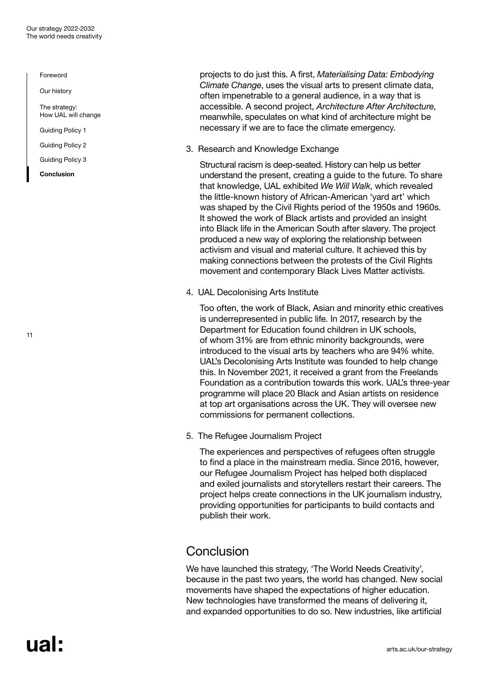<span id="page-11-0"></span>[Our history](#page-3-0)

[The strategy:](#page-4-0)  [How UAL will change](#page-4-0)

[Guiding Policy 1](#page-5-0) 

[Guiding Policy 2](#page-7-0)

[Guiding Policy 3](#page-9-0)

Conclusion

11

projects to do just this. A first, *Materialising Data: Embodying Climate Change*, uses the visual arts to present climate data, often impenetrable to a general audience, in a way that is accessible. A second project, *Architecture After Architecture*, meanwhile, speculates on what kind of architecture might be necessary if we are to face the climate emergency.

3. Research and Knowledge Exchange

Structural racism is deep-seated. History can help us better understand the present, creating a guide to the future. To share that knowledge, UAL exhibited *We Will Walk*, which revealed the little-known history of African-American 'yard art' which was shaped by the Civil Rights period of the 1950s and 1960s. It showed the work of Black artists and provided an insight into Black life in the American South after slavery. The project produced a new way of exploring the relationship between activism and visual and material culture. It achieved this by making connections between the protests of the Civil Rights movement and contemporary Black Lives Matter activists.

4. UAL Decolonising Arts Institute

Too often, the work of Black, Asian and minority ethic creatives is underrepresented in public life. In 2017, research by the Department for Education found children in UK schools, of whom 31% are from ethnic minority backgrounds, were introduced to the visual arts by teachers who are 94% white. UAL's Decolonising Arts Institute was founded to help change this. In November 2021, it received a grant from the Freelands Foundation as a contribution towards this work. UAL's three-year programme will place 20 Black and Asian artists on residence at top art organisations across the UK. They will oversee new commissions for permanent collections.

5. The Refugee Journalism Project

The experiences and perspectives of refugees often struggle to find a place in the mainstream media. Since 2016, however, our Refugee Journalism Project has helped both displaced and exiled journalists and storytellers restart their careers. The project helps create connections in the UK journalism industry, providing opportunities for participants to build contacts and publish their work.

# Conclusion

We have launched this strategy, 'The World Needs Creativity', because in the past two years, the world has changed. New social movements have shaped the expectations of higher education. New technologies have transformed the means of delivering it, and expanded opportunities to do so. New industries, like artificial